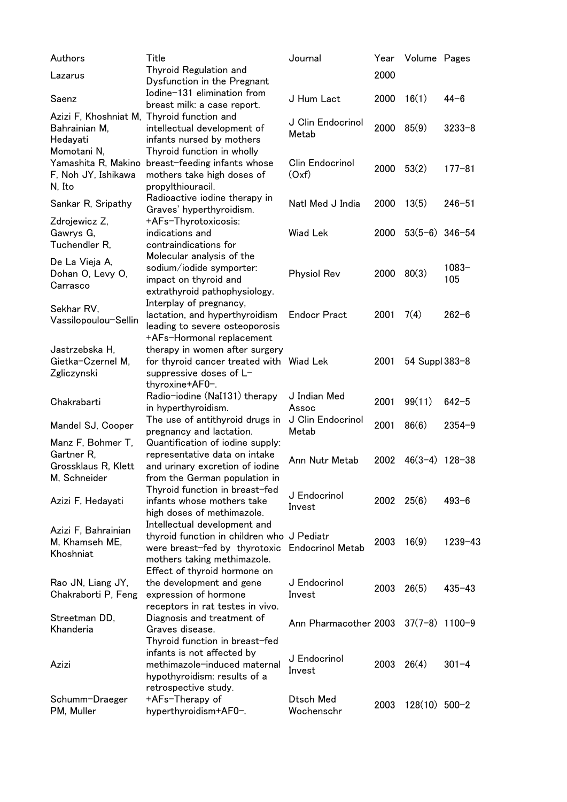| Authors                                                                 | Title                                                                                                                                      | Journal                    | Year | Volume Pages     |                 |
|-------------------------------------------------------------------------|--------------------------------------------------------------------------------------------------------------------------------------------|----------------------------|------|------------------|-----------------|
| Lazarus                                                                 | Thyroid Regulation and<br>Dysfunction in the Pregnant                                                                                      |                            | 2000 |                  |                 |
| Saenz                                                                   | Iodine-131 elimination from<br>breast milk: a case report.                                                                                 | J Hum Lact                 | 2000 | 16(1)            | $44 - 6$        |
| Azizi F, Khoshniat M, Thyroid function and<br>Bahrainian M,<br>Hedayati | intellectual development of<br>infants nursed by mothers                                                                                   | J Clin Endocrinol<br>Metab | 2000 | 85(9)            | $3233 - 8$      |
| Momotani N.<br>Yamashita R, Makino<br>F, Noh JY, Ishikawa<br>N, Ito     | Thyroid function in wholly<br>breast-feeding infants whose<br>mothers take high doses of<br>propylthiouracil.                              | Clin Endocrinol<br>(Oxf)   | 2000 | 53(2)            | $177 - 81$      |
| Sankar R, Sripathy                                                      | Radioactive iodine therapy in<br>Graves' hyperthyroidism.                                                                                  | Natl Med J India           | 2000 | 13(5)            | $246 - 51$      |
| Zdrojewicz Z,<br>Gawrys G,<br>Tuchendler R,                             | +AFs-Thyrotoxicosis:<br>indications and<br>contraindications for                                                                           | <b>Wiad Lek</b>            | 2000 | $53(5-6)$ 346-54 |                 |
| De La Vieja A,<br>Dohan O, Levy O,<br>Carrasco                          | Molecular analysis of the<br>sodium/iodide symporter:<br>impact on thyroid and<br>extrathyroid pathophysiology.                            | <b>Physiol Rev</b>         | 2000 | 80(3)            | $1083 -$<br>105 |
| Sekhar RV,<br>Vassilopoulou-Sellin                                      | Interplay of pregnancy,<br>lactation, and hyperthyroidism<br>leading to severe osteoporosis<br>+AFs-Hormonal replacement                   | <b>Endocr Pract</b>        | 2001 | 7(4)             | $262 - 6$       |
| Jastrzebska H,<br>Gietka-Czernel M,<br>Zgliczynski                      | therapy in women after surgery<br>for thyroid cancer treated with Wiad Lek<br>suppressive doses of L-<br>thyroxine+AF0-.                   |                            | 2001 | 54 Suppl 383-8   |                 |
| Chakrabarti                                                             | Radio-iodine (NaI131) therapy<br>in hyperthyroidism.                                                                                       | J Indian Med<br>Assoc      | 2001 | 99(11)           | $642 - 5$       |
| Mandel SJ, Cooper                                                       | The use of antithyroid drugs in<br>pregnancy and lactation.                                                                                | J Clin Endocrinol<br>Metab | 2001 | 86(6)            | $2354 - 9$      |
| Manz F, Bohmer T,<br>Gartner R,<br>Grossklaus R, Klett<br>M, Schneider  | Quantification of iodine supply:<br>representative data on intake<br>and urinary excretion of iodine<br>from the German population in      | Ann Nutr Metab             | 2002 | $46(3-4)$ 128-38 |                 |
| Azizi F, Hedayati                                                       | Thyroid function in breast-fed<br>infants whose mothers take<br>high doses of methimazole.                                                 | J Endocrinol<br>Invest     | 2002 | 25(6)            | $493 - 6$       |
| Azizi F, Bahrainian<br>M, Khamseh ME,<br>Khoshniat                      | Intellectual development and<br>thyroid function in children who J Pediatr<br>were breast-fed by thyrotoxic<br>mothers taking methimazole. | <b>Endocrinol Metab</b>    | 2003 | 16(9)            | $1239 - 43$     |
| Rao JN, Liang JY,<br>Chakraborti P, Feng                                | Effect of thyroid hormone on<br>the development and gene<br>expression of hormone<br>receptors in rat testes in vivo.                      | J Endocrinol<br>Invest     | 2003 | 26(5)            | $435 - 43$      |
| Streetman DD,<br>Khanderia                                              | Diagnosis and treatment of<br>Graves disease.<br>Thyroid function in breast-fed                                                            | Ann Pharmacother 2003      |      | $37(7-8)$ 1100-9 |                 |
| Azizi                                                                   | infants is not affected by<br>methimazole-induced maternal<br>hypothyroidism: results of a<br>retrospective study.                         | J Endocrinol<br>Invest     | 2003 | 26(4)            | $301 - 4$       |
| Schumm-Draeger<br>PM, Muller                                            | +AFs-Therapy of<br>hyperthyroidism+AF0-.                                                                                                   | Dtsch Med<br>Wochenschr    | 2003 | $128(10)$ 500-2  |                 |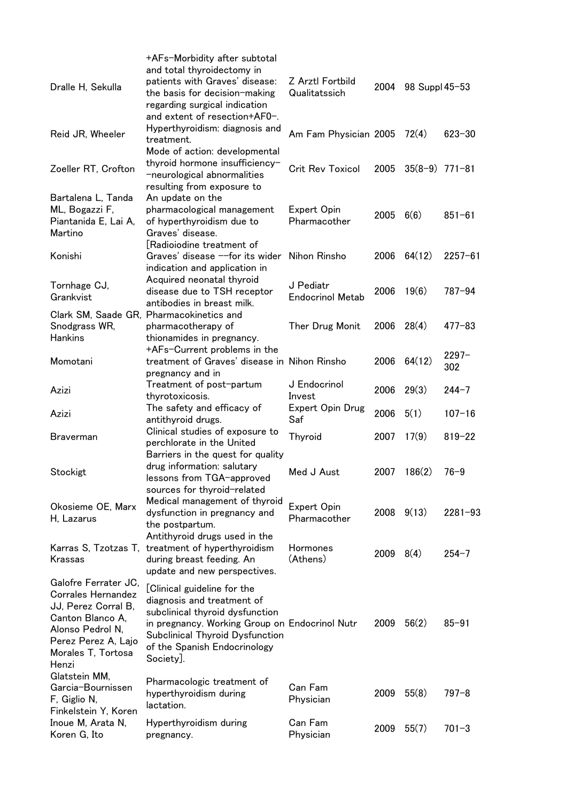| Dralle H, Sekulla                                                                                                                                                      | +AFs-Morbidity after subtotal<br>and total thyroidectomy in<br>patients with Graves' disease:<br>the basis for decision-making<br>regarding surgical indication<br>and extent of resection+AF0-.                               | Z Arztl Fortbild<br>Qualitatssich    | 2004          | 98 Suppl 45-53   |                 |
|------------------------------------------------------------------------------------------------------------------------------------------------------------------------|--------------------------------------------------------------------------------------------------------------------------------------------------------------------------------------------------------------------------------|--------------------------------------|---------------|------------------|-----------------|
| Reid JR, Wheeler                                                                                                                                                       | Hyperthyroidism: diagnosis and<br>treatment.<br>Mode of action: developmental                                                                                                                                                  | Am Fam Physician 2005                |               | 72(4)            | $623 - 30$      |
| Zoeller RT, Crofton                                                                                                                                                    | thyroid hormone insufficiency-<br>-neurological abnormalities<br>resulting from exposure to                                                                                                                                    | <b>Crit Rev Toxicol</b>              | 2005          | $35(8-9)$ 771-81 |                 |
| Bartalena L, Tanda<br>ML, Bogazzi F,<br>Piantanida E, Lai A,<br>Martino                                                                                                | An update on the<br>pharmacological management<br>of hyperthyroidism due to<br>Graves' disease.                                                                                                                                | Expert Opin<br>Pharmacother          | 2005          | 6(6)             | $851 - 61$      |
| Konishi                                                                                                                                                                | [Radioiodine treatment of<br>Graves' disease --for its wider<br>indication and application in                                                                                                                                  | Nihon Rinsho                         | 2006          | 64(12)           | $2257 - 61$     |
| Tornhage CJ,<br>Grankvist                                                                                                                                              | Acquired neonatal thyroid<br>disease due to TSH receptor<br>antibodies in breast milk.                                                                                                                                         | J Pediatr<br><b>Endocrinol Metab</b> | 2006          | 19(6)            | $787 - 94$      |
| Snodgrass WR,<br>Hankins                                                                                                                                               | Clark SM, Saade GR, Pharmacokinetics and<br>pharmacotherapy of<br>thionamides in pregnancy.                                                                                                                                    | Ther Drug Monit                      | 2006          | 28(4)            | $477 - 83$      |
| Momotani                                                                                                                                                               | +AFs-Current problems in the<br>treatment of Graves' disease in Nihon Rinsho<br>pregnancy and in                                                                                                                               |                                      | 2006          | 64(12)           | $2297 -$<br>302 |
| Azizi                                                                                                                                                                  | Treatment of post-partum<br>thyrotoxicosis.                                                                                                                                                                                    | J Endocrinol<br>Invest               | 2006          | 29(3)            | $244 - 7$       |
| Azizi                                                                                                                                                                  | The safety and efficacy of<br>antithyroid drugs.                                                                                                                                                                               | <b>Expert Opin Drug</b><br>Saf       | 2006          | 5(1)             | $107 - 16$      |
| <b>Braverman</b>                                                                                                                                                       | Clinical studies of exposure to<br>perchlorate in the United<br>Barriers in the quest for quality                                                                                                                              | Thyroid                              | 2007          | 17(9)            | $819 - 22$      |
| Stockigt                                                                                                                                                               | drug information: salutary<br>lessons from TGA-approved<br>sources for thyroid-related                                                                                                                                         | Med J Aust                           | 2007          | 186(2)           | $76 - 9$        |
| Okosieme OE, Marx<br>H, Lazarus                                                                                                                                        | Medical management of thyroid<br>dysfunction in pregnancy and<br>the postpartum.<br>Antithyroid drugs used in the                                                                                                              | Expert Opin<br>Pharmacother          | 2008          | 9(13)            | $2281 - 93$     |
| Krassas                                                                                                                                                                | Karras S, Tzotzas T, treatment of hyperthyroidism<br>during breast feeding. An<br>update and new perspectives.                                                                                                                 | <b>Hormones</b><br>(Athens)          | $2009$ $8(4)$ |                  | $254 - 7$       |
| Galofre Ferrater JC,<br><b>Corrales Hernandez</b><br>JJ, Perez Corral B,<br>Canton Blanco A,<br>Alonso Pedrol N,<br>Perez Perez A, Lajo<br>Morales T, Tortosa<br>Henzi | [Clinical guideline for the<br>diagnosis and treatment of<br>subclinical thyroid dysfunction<br>in pregnancy. Working Group on Endocrinol Nutr<br>Subclinical Thyroid Dysfunction<br>of the Spanish Endocrinology<br>Society]. |                                      | 2009          | 56(2)            | $85 - 91$       |
| Glatstein MM,<br>Garcia-Bournissen<br>F, Giglio N,<br>Finkelstein Y, Koren                                                                                             | Pharmacologic treatment of<br>hyperthyroidism during<br>lactation.                                                                                                                                                             | Can Fam<br>Physician                 | 2009          | 55(8)            | $797 - 8$       |
| Inoue M, Arata N,<br>Koren G, Ito                                                                                                                                      | Hyperthyroidism during<br>pregnancy.                                                                                                                                                                                           | Can Fam<br>Physician                 | 2009          | 55(7)            | $701 - 3$       |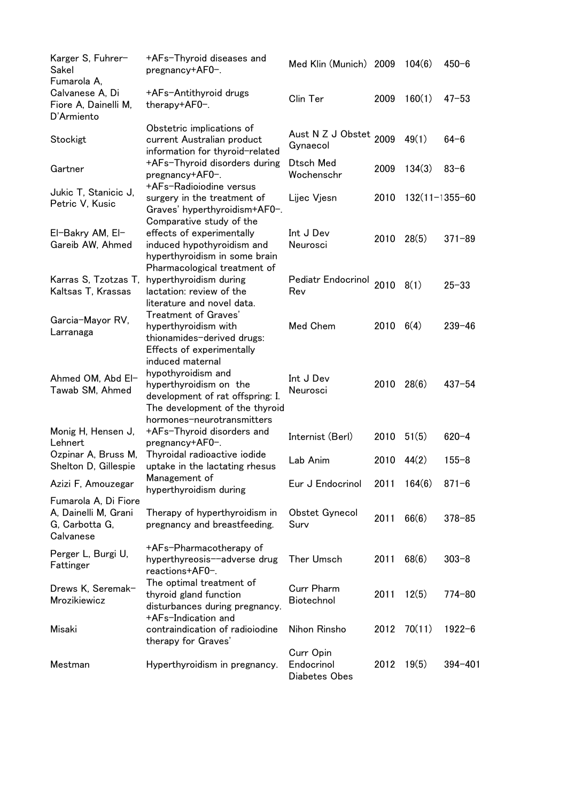| Karger S, Fuhrer-<br>Sakel                                                  | +AFs-Thyroid diseases and<br>pregnancy+AF0-.                                                                                                         | Med Klin (Munich) 2009                   |      | 104(6)            | $450 - 6$   |
|-----------------------------------------------------------------------------|------------------------------------------------------------------------------------------------------------------------------------------------------|------------------------------------------|------|-------------------|-------------|
| Fumarola A,<br>Calvanese A, Di<br>Fiore A, Dainelli M,<br>D'Armiento        | +AFs-Antithyroid drugs<br>therapy+AF0-.                                                                                                              | Clin Ter                                 | 2009 | 160(1)            | $47 - 53$   |
| Stockigt                                                                    | Obstetric implications of<br>current Australian product<br>information for thyroid-related                                                           | Aust N Z J Obstet 2009<br>Gynaecol       |      | 49(1)             | $64 - 6$    |
| Gartner                                                                     | +AFs-Thyroid disorders during<br>pregnancy+AF0-.                                                                                                     | Dtsch Med<br>Wochenschr                  | 2009 | 134(3)            | $83 - 6$    |
| Jukic T, Stanicic J,<br>Petric V, Kusic                                     | +AFs-Radioiodine versus<br>surgery in the treatment of<br>Graves' hyperthyroidism+AF0-.                                                              | Lijec Vjesn                              | 2010 | $132(11-1355-60)$ |             |
| El-Bakry AM, El-<br>Gareib AW, Ahmed                                        | Comparative study of the<br>effects of experimentally<br>induced hypothyroidism and<br>hyperthyroidism in some brain<br>Pharmacological treatment of | Int J Dev<br>Neurosci                    | 2010 | 28(5)             | $371 - 89$  |
| Karras S, Tzotzas T,<br>Kaltsas T, Krassas                                  | hyperthyroidism during<br>lactation: review of the<br>literature and novel data.                                                                     | Pediatr Endocrinol<br>Rev                | 2010 | 8(1)              | $25 - 33$   |
| Garcia-Mayor RV,<br>Larranaga                                               | Treatment of Graves'<br>hyperthyroidism with<br>thionamides-derived drugs:<br>Effects of experimentally                                              | Med Chem                                 | 2010 | 6(4)              | $239 - 46$  |
| Ahmed OM, Abd El-<br>Tawab SM, Ahmed                                        | induced maternal<br>hypothyroidism and<br>hyperthyroidism on the<br>development of rat offspring: I.<br>The development of the thyroid               | Int J Dev<br>Neurosci                    | 2010 | 28(6)             | $437 - 54$  |
| Monig H, Hensen J,<br>Lehnert                                               | hormones-neurotransmitters<br>+AFs-Thyroid disorders and<br>pregnancy+AF0-.                                                                          | Internist (Berl)                         | 2010 | 51(5)             | $620 - 4$   |
| Ozpinar A, Bruss M,<br>Shelton D, Gillespie                                 | Thyroidal radioactive iodide<br>uptake in the lactating rhesus                                                                                       | Lab Anim                                 | 2010 | 44(2)             | $155 - 8$   |
| Azizi F, Amouzegar                                                          | Management of<br>hyperthyroidism during                                                                                                              | Eur J Endocrinol                         | 2011 | 164(6)            | $871 - 6$   |
| Fumarola A, Di Fiore<br>A, Dainelli M, Grani<br>G, Carbotta G,<br>Calvanese | Therapy of hyperthyroidism in<br>pregnancy and breastfeeding.                                                                                        | Obstet Gynecol<br>Surv                   | 2011 | 66(6)             | $378 - 85$  |
| Perger L, Burgi U,<br>Fattinger                                             | +AFs-Pharmacotherapy of<br>hyperthyreosis--adverse drug<br>reactions+AF0-.                                                                           | Ther Umsch                               | 2011 | 68(6)             | $303 - 8$   |
| Drews K, Seremak-<br>Mrozikiewicz                                           | The optimal treatment of<br>thyroid gland function<br>disturbances during pregnancy.<br>+AFs-Indication and                                          | <b>Curr Pharm</b><br>Biotechnol          | 2011 | 12(5)             | 774-80      |
| Misaki                                                                      | contraindication of radioiodine<br>therapy for Graves'                                                                                               | Nihon Rinsho                             | 2012 | 70(11)            | $1922 - 6$  |
| Mestman                                                                     | Hyperthyroidism in pregnancy.                                                                                                                        | Curr Opin<br>Endocrinol<br>Diabetes Obes | 2012 | 19(5)             | $394 - 401$ |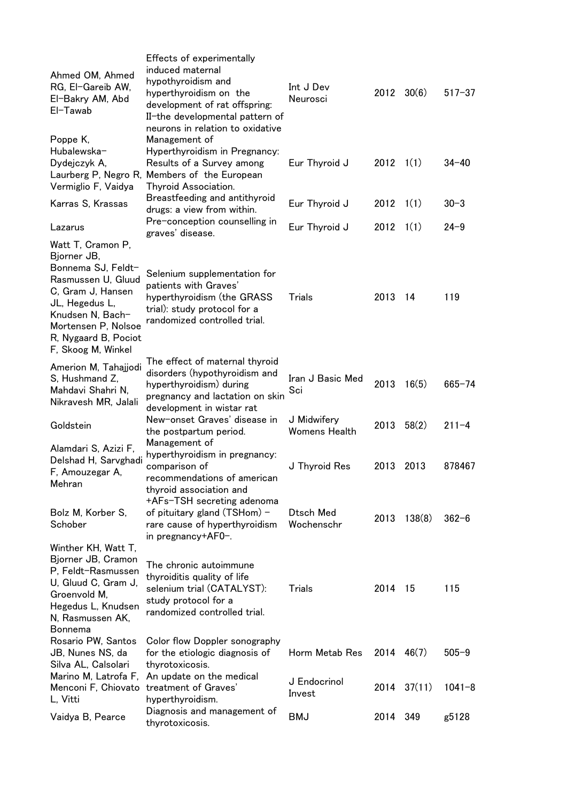| Ahmed OM, Ahmed<br>RG, El-Gareib AW,<br>El-Bakry AM, Abd<br>EI-Tawab                                                                                                                    | Effects of experimentally<br>induced maternal<br>hypothyroidism and<br>hyperthyroidism on the<br>development of rat offspring:<br>II-the developmental pattern of<br>neurons in relation to oxidative | Int J Dev<br>Neurosci               | $2012 \quad 30(6)$ |             | $517 - 37$ |
|-----------------------------------------------------------------------------------------------------------------------------------------------------------------------------------------|-------------------------------------------------------------------------------------------------------------------------------------------------------------------------------------------------------|-------------------------------------|--------------------|-------------|------------|
| Poppe K,<br>Hubalewska-<br>Dydejczyk A,<br>Vermiglio F, Vaidya                                                                                                                          | Management of<br>Hyperthyroidism in Pregnancy:<br>Results of a Survey among<br>Laurberg P, Negro R, Members of the European<br>Thyroid Association.                                                   | Eur Thyroid J                       | 2012               | 1(1)        | $34 - 40$  |
| Karras S, Krassas                                                                                                                                                                       | Breastfeeding and antithyroid<br>drugs: a view from within.                                                                                                                                           | Eur Thyroid J                       | 2012               | 1(1)        | $30 - 3$   |
| Lazarus                                                                                                                                                                                 | Pre-conception counselling in<br>graves' disease.                                                                                                                                                     | Eur Thyroid J                       | 2012               | 1(1)        | $24 - 9$   |
| Watt T, Cramon P,                                                                                                                                                                       |                                                                                                                                                                                                       |                                     |                    |             |            |
| Bjorner JB,<br>Bonnema SJ, Feldt-<br>Rasmussen U, Gluud<br>C, Gram J, Hansen<br>JL, Hegedus L,<br>Knudsen N, Bach-<br>Mortensen P, Nolsoe<br>R, Nygaard B, Pociot<br>F, Skoog M, Winkel | Selenium supplementation for<br>patients with Graves'<br>hyperthyroidism (the GRASS<br>trial): study protocol for a<br>randomized controlled trial.                                                   | Trials                              | 2013               | 14          | 119        |
| Amerion M, Tahajjodi<br>S, Hushmand Z,<br>Mahdavi Shahri N,<br>Nikravesh MR, Jalali                                                                                                     | The effect of maternal thyroid<br>disorders (hypothyroidism and<br>hyperthyroidism) during<br>pregnancy and lactation on skin<br>development in wistar rat                                            | Iran J Basic Med<br>Sci             | 2013               | 16(5)       | $665 - 74$ |
| Goldstein                                                                                                                                                                               | New-onset Graves' disease in<br>the postpartum period.                                                                                                                                                | J Midwifery<br><b>Womens Health</b> | 2013               | 58(2)       | $211 - 4$  |
| Alamdari S, Azizi F,<br>Delshad H, Sarvghadi<br>F, Amouzegar A,<br>Mehran                                                                                                               | Management of<br>hyperthyroidism in pregnancy:<br>comparison of<br>recommendations of american<br>thyroid association and                                                                             | J Thyroid Res                       | 2013               | 2013        | 878467     |
| Bolz M, Korber S,<br>Schober                                                                                                                                                            | +AFs-TSH secreting adenoma<br>of pituitary gland (TSHom) -<br>rare cause of hyperthyroidism<br>in pregnancy+AF0-.                                                                                     | Dtsch Med<br>Wochenschr             | 2013               | 138(8)      | $362 - 6$  |
| Winther KH, Watt T,<br>Bjorner JB, Cramon<br>P, Feldt-Rasmussen<br>U, Gluud C, Gram J,<br>Groenvold M,<br>Hegedus L, Knudsen<br>N, Rasmussen AK,<br>Bonnema                             | The chronic autoimmune<br>thyroiditis quality of life<br>selenium trial (CATALYST):<br>study protocol for a<br>randomized controlled trial.                                                           | Trials                              | 2014               | - 15        | 115        |
| Rosario PW, Santos<br>JB, Nunes NS, da<br>Silva AL, Calsolari                                                                                                                           | Color flow Doppler sonography<br>for the etiologic diagnosis of<br>thyrotoxicosis.                                                                                                                    | Horm Metab Res                      | 2014               | 46(7)       | $505 - 9$  |
| Marino M, Latrofa F,<br>Menconi F, Chiovato<br>L, Vitti                                                                                                                                 | An update on the medical<br>treatment of Graves'<br>hyperthyroidism.                                                                                                                                  | J Endocrinol<br>Invest              |                    | 2014 37(11) | $1041 - 8$ |
| Vaidya B, Pearce                                                                                                                                                                        | Diagnosis and management of<br>thyrotoxicosis.                                                                                                                                                        | <b>BMJ</b>                          | 2014               | 349         | g5128      |